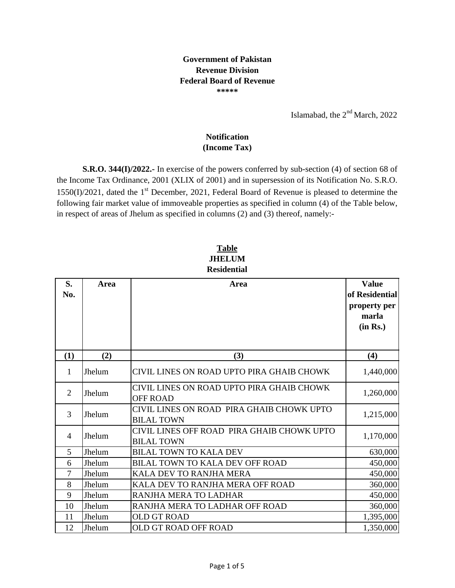## **Government of Pakistan Revenue Division Federal Board of Revenue \*\*\*\*\***

Islamabad, the  $2<sup>nd</sup> March$ , 2022

## **Notification (Income Tax)**

**S.R.O. 344(I)/2022.-** In exercise of the powers conferred by sub-section (4) of section 68 of the Income Tax Ordinance, 2001 (XLIX of 2001) and in supersession of its Notification No. S.R.O.  $1550(I)/2021$ , dated the 1<sup>st</sup> December, 2021, Federal Board of Revenue is pleased to determine the following fair market value of immoveable properties as specified in column (4) of the Table below, in respect of areas of Jhelum as specified in columns (2) and (3) thereof, namely:-

## **JHELUM Residential Table**

| S.<br>No.      | <b>Area</b> | Area                                                            | <b>Value</b><br>of Residential<br>property per<br>marla<br>(in Rs.) |
|----------------|-------------|-----------------------------------------------------------------|---------------------------------------------------------------------|
| (1)            | (2)         | (3)                                                             | (4)                                                                 |
| $\mathbf{1}$   | Jhelum      | CIVIL LINES ON ROAD UPTO PIRA GHAIB CHOWK                       | 1,440,000                                                           |
| $\overline{2}$ | Jhelum      | CIVIL LINES ON ROAD UPTO PIRA GHAIB CHOWK<br><b>OFF ROAD</b>    | 1,260,000                                                           |
| 3              | Jhelum      | CIVIL LINES ON ROAD PIRA GHAIB CHOWK UPTO<br><b>BILAL TOWN</b>  | 1,215,000                                                           |
| $\overline{4}$ | Jhelum      | CIVIL LINES OFF ROAD PIRA GHAIB CHOWK UPTO<br><b>BILAL TOWN</b> | 1,170,000                                                           |
| 5              | Jhelum      | <b>BILAL TOWN TO KALA DEV</b>                                   | 630,000                                                             |
| 6              | Jhelum      | BILAL TOWN TO KALA DEV OFF ROAD                                 | 450,000                                                             |
| 7              | Jhelum      | KALA DEV TO RANJHA MERA                                         | 450,000                                                             |
| 8              | Jhelum      | KALA DEV TO RANJHA MERA OFF ROAD                                | 360,000                                                             |
| 9              | Jhelum      | RANJHA MERA TO LADHAR                                           | 450,000                                                             |
| 10             | Jhelum      | RANJHA MERA TO LADHAR OFF ROAD                                  | 360,000                                                             |
| 11             | Jhelum      | <b>OLD GT ROAD</b>                                              | 1,395,000                                                           |
| 12             | Jhelum      | OLD GT ROAD OFF ROAD                                            | 1,350,000                                                           |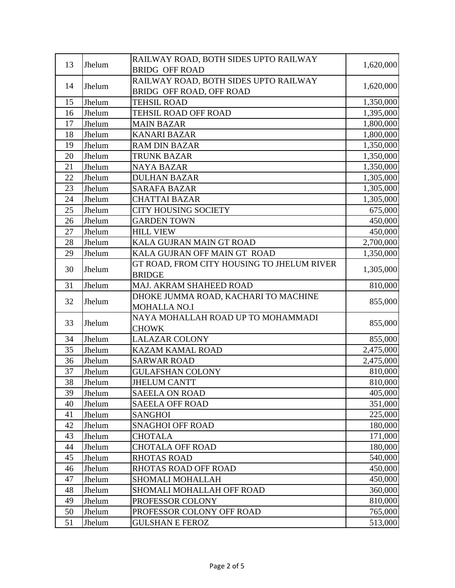| <b>BRIDG OFF ROAD</b><br>RAILWAY ROAD, BOTH SIDES UPTO RAILWAY<br>14<br>1,620,000<br>Jhelum<br>BRIDG OFF ROAD, OFF ROAD<br>15<br>Jhelum<br><b>TEHSIL ROAD</b><br>TEHSIL ROAD OFF ROAD<br>16<br>Jhelum<br>17<br>Jhelum<br><b>MAIN BAZAR</b><br>18<br>Jhelum<br><b>KANARI BAZAR</b><br>19<br>Jhelum<br><b>RAM DIN BAZAR</b><br>Jhelum<br>20<br><b>TRUNK BAZAR</b><br>Jhelum<br>21<br><b>NAYA BAZAR</b><br>22<br>Jhelum<br><b>DULHAN BAZAR</b><br>23<br>Jhelum<br><b>SARAFA BAZAR</b><br>24<br>Jhelum<br><b>CHATTAI BAZAR</b><br>25<br>Jhelum<br><b>CITY HOUSING SOCIETY</b><br>Jhelum<br><b>GARDEN TOWN</b><br>26<br>27<br>Jhelum<br><b>HILL VIEW</b><br>Jhelum<br>KALA GUJRAN MAIN GT ROAD<br>28<br>29<br>Jhelum<br>KALA GUJRAN OFF MAIN GT ROAD<br>GT ROAD, FROM CITY HOUSING TO JHELUM RIVER<br>30<br>Jhelum<br>1,305,000<br><b>BRIDGE</b><br>31<br>Jhelum<br>MAJ. AKRAM SHAHEED ROAD<br>DHOKE JUMMA ROAD, KACHARI TO MACHINE<br>32<br>855,000<br>Jhelum<br><b>MOHALLA NO.I</b><br>NAYA MOHALLAH ROAD UP TO MOHAMMADI<br>33<br>855,000<br>Jhelum<br><b>CHOWK</b><br>34<br>Jhelum<br><b>LALAZAR COLONY</b><br>Jhelum<br>35<br>KAZAM KAMAL ROAD<br>36<br>Jhelum<br><b>SARWAR ROAD</b><br>37<br>Jhelum<br><b>GULAFSHAN COLONY</b><br>38<br>Jhelum<br><b>JHELUM CANTT</b><br>39<br>Jhelum<br><b>SAEELA ON ROAD</b><br>40<br>Jhelum<br><b>SAEELA OFF ROAD</b><br>41<br>Jhelum<br><b>SANGHOI</b><br>42<br>Jhelum<br><b>SNAGHOI OFF ROAD</b><br>43<br>Jhelum<br><b>CHOTALA</b><br>44<br><b>CHOTALA OFF ROAD</b><br>Jhelum<br>45<br>Jhelum<br><b>RHOTAS ROAD</b><br>46<br>Jhelum<br>RHOTAS ROAD OFF ROAD<br>47<br>Jhelum<br><b>SHOMALI MOHALLAH</b><br>48<br>Jhelum<br>SHOMALI MOHALLAH OFF ROAD | 13 | Jhelum | RAILWAY ROAD, BOTH SIDES UPTO RAILWAY | 1,620,000 |
|-------------------------------------------------------------------------------------------------------------------------------------------------------------------------------------------------------------------------------------------------------------------------------------------------------------------------------------------------------------------------------------------------------------------------------------------------------------------------------------------------------------------------------------------------------------------------------------------------------------------------------------------------------------------------------------------------------------------------------------------------------------------------------------------------------------------------------------------------------------------------------------------------------------------------------------------------------------------------------------------------------------------------------------------------------------------------------------------------------------------------------------------------------------------------------------------------------------------------------------------------------------------------------------------------------------------------------------------------------------------------------------------------------------------------------------------------------------------------------------------------------------------------------------------------------------------------------------------------------------------------------------------------------------------------------------------|----|--------|---------------------------------------|-----------|
|                                                                                                                                                                                                                                                                                                                                                                                                                                                                                                                                                                                                                                                                                                                                                                                                                                                                                                                                                                                                                                                                                                                                                                                                                                                                                                                                                                                                                                                                                                                                                                                                                                                                                           |    |        |                                       |           |
|                                                                                                                                                                                                                                                                                                                                                                                                                                                                                                                                                                                                                                                                                                                                                                                                                                                                                                                                                                                                                                                                                                                                                                                                                                                                                                                                                                                                                                                                                                                                                                                                                                                                                           |    |        |                                       |           |
|                                                                                                                                                                                                                                                                                                                                                                                                                                                                                                                                                                                                                                                                                                                                                                                                                                                                                                                                                                                                                                                                                                                                                                                                                                                                                                                                                                                                                                                                                                                                                                                                                                                                                           |    |        |                                       |           |
|                                                                                                                                                                                                                                                                                                                                                                                                                                                                                                                                                                                                                                                                                                                                                                                                                                                                                                                                                                                                                                                                                                                                                                                                                                                                                                                                                                                                                                                                                                                                                                                                                                                                                           |    |        |                                       | 1,350,000 |
|                                                                                                                                                                                                                                                                                                                                                                                                                                                                                                                                                                                                                                                                                                                                                                                                                                                                                                                                                                                                                                                                                                                                                                                                                                                                                                                                                                                                                                                                                                                                                                                                                                                                                           |    |        |                                       | 1,395,000 |
|                                                                                                                                                                                                                                                                                                                                                                                                                                                                                                                                                                                                                                                                                                                                                                                                                                                                                                                                                                                                                                                                                                                                                                                                                                                                                                                                                                                                                                                                                                                                                                                                                                                                                           |    |        |                                       | 1,800,000 |
|                                                                                                                                                                                                                                                                                                                                                                                                                                                                                                                                                                                                                                                                                                                                                                                                                                                                                                                                                                                                                                                                                                                                                                                                                                                                                                                                                                                                                                                                                                                                                                                                                                                                                           |    |        |                                       | 1,800,000 |
|                                                                                                                                                                                                                                                                                                                                                                                                                                                                                                                                                                                                                                                                                                                                                                                                                                                                                                                                                                                                                                                                                                                                                                                                                                                                                                                                                                                                                                                                                                                                                                                                                                                                                           |    |        |                                       | 1,350,000 |
|                                                                                                                                                                                                                                                                                                                                                                                                                                                                                                                                                                                                                                                                                                                                                                                                                                                                                                                                                                                                                                                                                                                                                                                                                                                                                                                                                                                                                                                                                                                                                                                                                                                                                           |    |        |                                       | 1,350,000 |
|                                                                                                                                                                                                                                                                                                                                                                                                                                                                                                                                                                                                                                                                                                                                                                                                                                                                                                                                                                                                                                                                                                                                                                                                                                                                                                                                                                                                                                                                                                                                                                                                                                                                                           |    |        |                                       | 1,350,000 |
|                                                                                                                                                                                                                                                                                                                                                                                                                                                                                                                                                                                                                                                                                                                                                                                                                                                                                                                                                                                                                                                                                                                                                                                                                                                                                                                                                                                                                                                                                                                                                                                                                                                                                           |    |        |                                       | 1,305,000 |
|                                                                                                                                                                                                                                                                                                                                                                                                                                                                                                                                                                                                                                                                                                                                                                                                                                                                                                                                                                                                                                                                                                                                                                                                                                                                                                                                                                                                                                                                                                                                                                                                                                                                                           |    |        |                                       | 1,305,000 |
|                                                                                                                                                                                                                                                                                                                                                                                                                                                                                                                                                                                                                                                                                                                                                                                                                                                                                                                                                                                                                                                                                                                                                                                                                                                                                                                                                                                                                                                                                                                                                                                                                                                                                           |    |        |                                       | 1,305,000 |
|                                                                                                                                                                                                                                                                                                                                                                                                                                                                                                                                                                                                                                                                                                                                                                                                                                                                                                                                                                                                                                                                                                                                                                                                                                                                                                                                                                                                                                                                                                                                                                                                                                                                                           |    |        |                                       | 675,000   |
|                                                                                                                                                                                                                                                                                                                                                                                                                                                                                                                                                                                                                                                                                                                                                                                                                                                                                                                                                                                                                                                                                                                                                                                                                                                                                                                                                                                                                                                                                                                                                                                                                                                                                           |    |        |                                       | 450,000   |
|                                                                                                                                                                                                                                                                                                                                                                                                                                                                                                                                                                                                                                                                                                                                                                                                                                                                                                                                                                                                                                                                                                                                                                                                                                                                                                                                                                                                                                                                                                                                                                                                                                                                                           |    |        |                                       | 450,000   |
|                                                                                                                                                                                                                                                                                                                                                                                                                                                                                                                                                                                                                                                                                                                                                                                                                                                                                                                                                                                                                                                                                                                                                                                                                                                                                                                                                                                                                                                                                                                                                                                                                                                                                           |    |        |                                       | 2,700,000 |
|                                                                                                                                                                                                                                                                                                                                                                                                                                                                                                                                                                                                                                                                                                                                                                                                                                                                                                                                                                                                                                                                                                                                                                                                                                                                                                                                                                                                                                                                                                                                                                                                                                                                                           |    |        |                                       | 1,350,000 |
|                                                                                                                                                                                                                                                                                                                                                                                                                                                                                                                                                                                                                                                                                                                                                                                                                                                                                                                                                                                                                                                                                                                                                                                                                                                                                                                                                                                                                                                                                                                                                                                                                                                                                           |    |        |                                       |           |
|                                                                                                                                                                                                                                                                                                                                                                                                                                                                                                                                                                                                                                                                                                                                                                                                                                                                                                                                                                                                                                                                                                                                                                                                                                                                                                                                                                                                                                                                                                                                                                                                                                                                                           |    |        |                                       |           |
|                                                                                                                                                                                                                                                                                                                                                                                                                                                                                                                                                                                                                                                                                                                                                                                                                                                                                                                                                                                                                                                                                                                                                                                                                                                                                                                                                                                                                                                                                                                                                                                                                                                                                           |    |        |                                       | 810,000   |
|                                                                                                                                                                                                                                                                                                                                                                                                                                                                                                                                                                                                                                                                                                                                                                                                                                                                                                                                                                                                                                                                                                                                                                                                                                                                                                                                                                                                                                                                                                                                                                                                                                                                                           |    |        |                                       |           |
|                                                                                                                                                                                                                                                                                                                                                                                                                                                                                                                                                                                                                                                                                                                                                                                                                                                                                                                                                                                                                                                                                                                                                                                                                                                                                                                                                                                                                                                                                                                                                                                                                                                                                           |    |        |                                       |           |
|                                                                                                                                                                                                                                                                                                                                                                                                                                                                                                                                                                                                                                                                                                                                                                                                                                                                                                                                                                                                                                                                                                                                                                                                                                                                                                                                                                                                                                                                                                                                                                                                                                                                                           |    |        |                                       |           |
|                                                                                                                                                                                                                                                                                                                                                                                                                                                                                                                                                                                                                                                                                                                                                                                                                                                                                                                                                                                                                                                                                                                                                                                                                                                                                                                                                                                                                                                                                                                                                                                                                                                                                           |    |        |                                       |           |
|                                                                                                                                                                                                                                                                                                                                                                                                                                                                                                                                                                                                                                                                                                                                                                                                                                                                                                                                                                                                                                                                                                                                                                                                                                                                                                                                                                                                                                                                                                                                                                                                                                                                                           |    |        |                                       | 855,000   |
|                                                                                                                                                                                                                                                                                                                                                                                                                                                                                                                                                                                                                                                                                                                                                                                                                                                                                                                                                                                                                                                                                                                                                                                                                                                                                                                                                                                                                                                                                                                                                                                                                                                                                           |    |        |                                       | 2,475,000 |
|                                                                                                                                                                                                                                                                                                                                                                                                                                                                                                                                                                                                                                                                                                                                                                                                                                                                                                                                                                                                                                                                                                                                                                                                                                                                                                                                                                                                                                                                                                                                                                                                                                                                                           |    |        |                                       | 2,475,000 |
|                                                                                                                                                                                                                                                                                                                                                                                                                                                                                                                                                                                                                                                                                                                                                                                                                                                                                                                                                                                                                                                                                                                                                                                                                                                                                                                                                                                                                                                                                                                                                                                                                                                                                           |    |        |                                       | 810,000   |
|                                                                                                                                                                                                                                                                                                                                                                                                                                                                                                                                                                                                                                                                                                                                                                                                                                                                                                                                                                                                                                                                                                                                                                                                                                                                                                                                                                                                                                                                                                                                                                                                                                                                                           |    |        |                                       | 810,000   |
|                                                                                                                                                                                                                                                                                                                                                                                                                                                                                                                                                                                                                                                                                                                                                                                                                                                                                                                                                                                                                                                                                                                                                                                                                                                                                                                                                                                                                                                                                                                                                                                                                                                                                           |    |        |                                       | 405,000   |
|                                                                                                                                                                                                                                                                                                                                                                                                                                                                                                                                                                                                                                                                                                                                                                                                                                                                                                                                                                                                                                                                                                                                                                                                                                                                                                                                                                                                                                                                                                                                                                                                                                                                                           |    |        |                                       | 351,000   |
|                                                                                                                                                                                                                                                                                                                                                                                                                                                                                                                                                                                                                                                                                                                                                                                                                                                                                                                                                                                                                                                                                                                                                                                                                                                                                                                                                                                                                                                                                                                                                                                                                                                                                           |    |        |                                       | 225,000   |
|                                                                                                                                                                                                                                                                                                                                                                                                                                                                                                                                                                                                                                                                                                                                                                                                                                                                                                                                                                                                                                                                                                                                                                                                                                                                                                                                                                                                                                                                                                                                                                                                                                                                                           |    |        |                                       | 180,000   |
|                                                                                                                                                                                                                                                                                                                                                                                                                                                                                                                                                                                                                                                                                                                                                                                                                                                                                                                                                                                                                                                                                                                                                                                                                                                                                                                                                                                                                                                                                                                                                                                                                                                                                           |    |        |                                       | 171,000   |
|                                                                                                                                                                                                                                                                                                                                                                                                                                                                                                                                                                                                                                                                                                                                                                                                                                                                                                                                                                                                                                                                                                                                                                                                                                                                                                                                                                                                                                                                                                                                                                                                                                                                                           |    |        |                                       | 180,000   |
|                                                                                                                                                                                                                                                                                                                                                                                                                                                                                                                                                                                                                                                                                                                                                                                                                                                                                                                                                                                                                                                                                                                                                                                                                                                                                                                                                                                                                                                                                                                                                                                                                                                                                           |    |        |                                       | 540,000   |
|                                                                                                                                                                                                                                                                                                                                                                                                                                                                                                                                                                                                                                                                                                                                                                                                                                                                                                                                                                                                                                                                                                                                                                                                                                                                                                                                                                                                                                                                                                                                                                                                                                                                                           |    |        |                                       | 450,000   |
|                                                                                                                                                                                                                                                                                                                                                                                                                                                                                                                                                                                                                                                                                                                                                                                                                                                                                                                                                                                                                                                                                                                                                                                                                                                                                                                                                                                                                                                                                                                                                                                                                                                                                           |    |        |                                       | 450,000   |
|                                                                                                                                                                                                                                                                                                                                                                                                                                                                                                                                                                                                                                                                                                                                                                                                                                                                                                                                                                                                                                                                                                                                                                                                                                                                                                                                                                                                                                                                                                                                                                                                                                                                                           |    |        |                                       | 360,000   |
|                                                                                                                                                                                                                                                                                                                                                                                                                                                                                                                                                                                                                                                                                                                                                                                                                                                                                                                                                                                                                                                                                                                                                                                                                                                                                                                                                                                                                                                                                                                                                                                                                                                                                           | 49 | Jhelum | PROFESSOR COLONY                      | 810,000   |
| 50<br>Jhelum<br>PROFESSOR COLONY OFF ROAD                                                                                                                                                                                                                                                                                                                                                                                                                                                                                                                                                                                                                                                                                                                                                                                                                                                                                                                                                                                                                                                                                                                                                                                                                                                                                                                                                                                                                                                                                                                                                                                                                                                 |    |        |                                       | 765,000   |
| 51<br>Jhelum<br><b>GULSHAN E FEROZ</b>                                                                                                                                                                                                                                                                                                                                                                                                                                                                                                                                                                                                                                                                                                                                                                                                                                                                                                                                                                                                                                                                                                                                                                                                                                                                                                                                                                                                                                                                                                                                                                                                                                                    |    |        |                                       | 513,000   |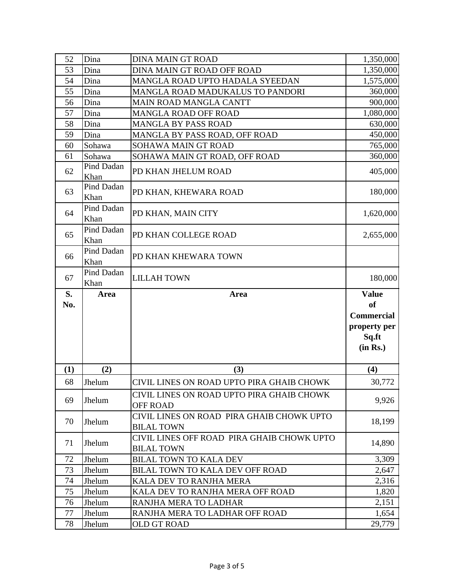| 52  | Dina               | <b>DINA MAIN GT ROAD</b>                                        | 1,350,000         |
|-----|--------------------|-----------------------------------------------------------------|-------------------|
| 53  | Dina               | DINA MAIN GT ROAD OFF ROAD                                      | 1,350,000         |
| 54  | Dina               | MANGLA ROAD UPTO HADALA SYEEDAN                                 | 1,575,000         |
| 55  | Dina               | MANGLA ROAD MADUKALUS TO PANDORI                                | 360,000           |
| 56  | Dina               | <b>MAIN ROAD MANGLA CANTT</b>                                   | 900,000           |
| 57  | Dina               | <b>MANGLA ROAD OFF ROAD</b>                                     | 1,080,000         |
| 58  | Dina               | <b>MANGLA BY PASS ROAD</b>                                      | 630,000           |
| 59  | Dina               | MANGLA BY PASS ROAD, OFF ROAD                                   | 450,000           |
| 60  | Sohawa             | SOHAWA MAIN GT ROAD                                             | 765,000           |
| 61  | Sohawa             | SOHAWA MAIN GT ROAD, OFF ROAD                                   | 360,000           |
| 62  | Pind Dadan<br>Khan | PD KHAN JHELUM ROAD                                             | 405,000           |
| 63  | Pind Dadan<br>Khan | PD KHAN, KHEWARA ROAD                                           | 180,000           |
| 64  | Pind Dadan<br>Khan | PD KHAN, MAIN CITY                                              | 1,620,000         |
| 65  | Pind Dadan<br>Khan | PD KHAN COLLEGE ROAD                                            | 2,655,000         |
| 66  | Pind Dadan<br>Khan | PD KHAN KHEWARA TOWN                                            |                   |
| 67  | Pind Dadan<br>Khan | <b>LILLAH TOWN</b>                                              | 180,000           |
|     |                    |                                                                 |                   |
| S.  | Area               | Area                                                            | <b>Value</b>      |
| No. |                    |                                                                 | <b>of</b>         |
|     |                    |                                                                 | <b>Commercial</b> |
|     |                    |                                                                 | property per      |
|     |                    |                                                                 | Sq.ft             |
|     |                    |                                                                 | (in Rs.)          |
|     |                    |                                                                 |                   |
| (1) | (2)                | (3)                                                             | (4)               |
| 68  | Jhelum             | CIVIL LINES ON ROAD UPTO PIRA GHAIB CHOWK                       | 30,772            |
| 69  | Jhelum             | CIVIL LINES ON ROAD UPTO PIRA GHAIB CHOWK<br><b>OFF ROAD</b>    | 9,926             |
| 70  | Jhelum             | CIVIL LINES ON ROAD PIRA GHAIB CHOWK UPTO<br><b>BILAL TOWN</b>  | 18,199            |
| 71  | Jhelum             | CIVIL LINES OFF ROAD PIRA GHAIB CHOWK UPTO<br><b>BILAL TOWN</b> | 14,890            |
| 72  | Jhelum             | <b>BILAL TOWN TO KALA DEV</b>                                   | 3,309             |
| 73  | Jhelum             | <b>BILAL TOWN TO KALA DEV OFF ROAD</b>                          | 2,647             |
| 74  | Jhelum             | KALA DEV TO RANJHA MERA                                         | 2,316             |
| 75  | Jhelum             | KALA DEV TO RANJHA MERA OFF ROAD                                | 1,820             |
| 76  | Jhelum             | RANJHA MERA TO LADHAR                                           | 2,151             |
| 77  | Jhelum             | RANJHA MERA TO LADHAR OFF ROAD                                  | 1,654             |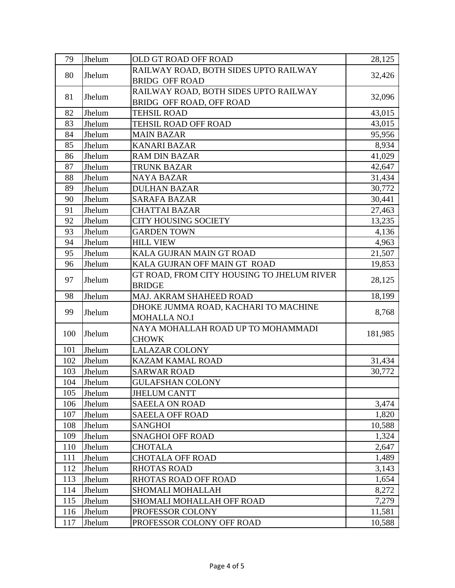| RAILWAY ROAD, BOTH SIDES UPTO RAILWAY      |
|--------------------------------------------|
|                                            |
| 32,426                                     |
| RAILWAY ROAD, BOTH SIDES UPTO RAILWAY      |
| 32,096                                     |
| 43,015                                     |
| 43,015                                     |
| 95,956                                     |
| 8,934                                      |
| 41,029                                     |
| 42,647                                     |
| 31,434                                     |
| 30,772                                     |
| 30,441                                     |
| 27,463                                     |
| 13,235                                     |
| 4,136                                      |
| 4,963                                      |
| 21,507                                     |
| 19,853                                     |
| GT ROAD, FROM CITY HOUSING TO JHELUM RIVER |
| 28,125                                     |
| 18,199                                     |
| DHOKE JUMMA ROAD, KACHARI TO MACHINE       |
| 8,768                                      |
| NAYA MOHALLAH ROAD UP TO MOHAMMADI         |
| 181,985                                    |
|                                            |
| 31,434                                     |
| 30,772                                     |
|                                            |
|                                            |
| 3,474                                      |
| 1,820                                      |
| 10,588                                     |
| 1,324                                      |
| 2,647                                      |
| 1,489                                      |
| 3,143                                      |
| 1,654                                      |
| 8,272                                      |
| 7,279                                      |
| 11,581                                     |
| 10,588                                     |
|                                            |